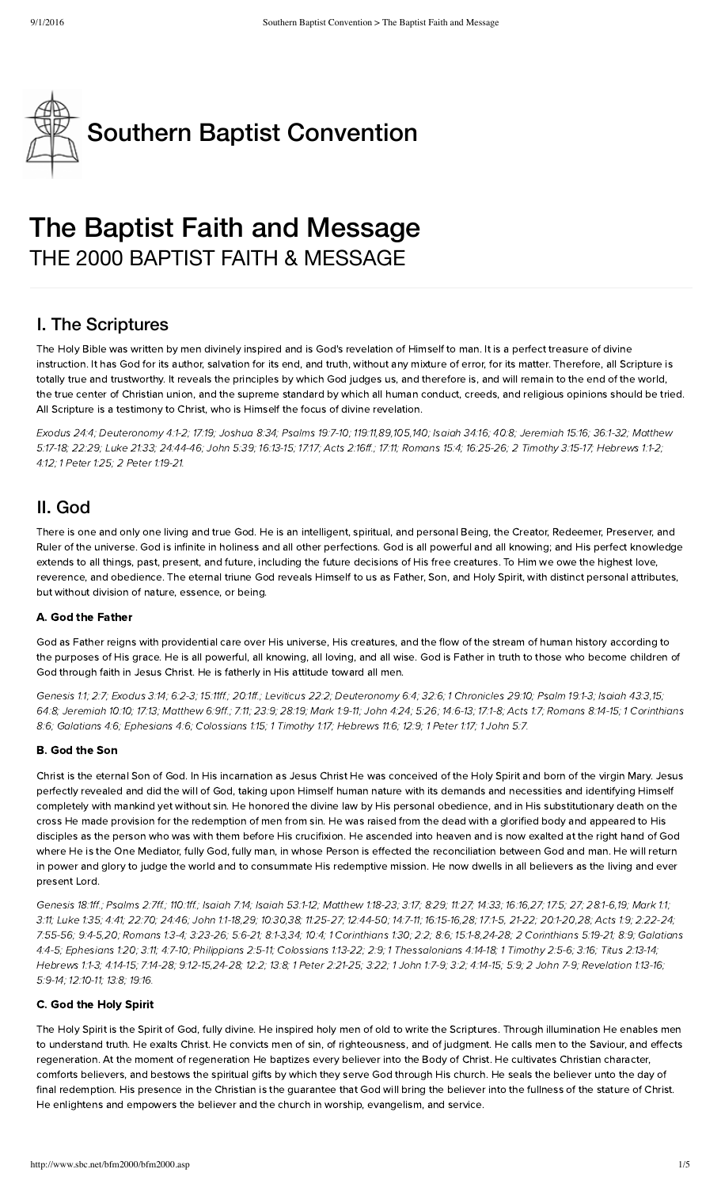

# The Baptist Faith and Message THE 2000 BAPTIST FAITH & MESSAGE

### I. The Scriptures

The Holy Bible was written by men divinely inspired and is God's revelation of Himself to man. It is a perfect treasure of divine instruction. It has God for its author, salvation for its end, and truth, without any mixture of error, for its matter. Therefore, all Scripture is totally true and trustworthy. It reveals the principles by which God judges us, and therefore is, and will remain to the end of the world, the true center of Christian union, and the supreme standard by which all human conduct, creeds, and religious opinions should be tried. All Scripture is a testimony to Christ, who is Himself the focus of divine revelation.

[xodus](http://biblia.com/bible/hcsb/Exodus%2024.4) 24:4; [Deuteronom](http://biblia.com/bible/hcsb/Deuteronomy%204.1-2) 4:1-2; [17:19;](http://biblia.com/bible/hcsb/Deuteronomy%2017.19) [Joshua](http://biblia.com/bible/hcsb/Joshua%208.34) 8:34; [Psalms](http://biblia.com/bible/hcsb/Psalms%2019.7-10) 19:7-10; [1](http://biblia.com/bible/hcsb/Matthew%205.17-18)[19:11](http://biblia.com/bible/hcsb/Psalms%20119.11)[,89,1](http://biblia.com/bible/hcsb/Matthew%205.17-18)[0](http://biblia.com/bible/hcsb/Psalms%20119.105)[5,](http://biblia.com/bible/hcsb/Matthew%205.17-18)[140](http://biblia.com/bible/hcsb/Psalms%20119.140)[;](http://biblia.com/bible/hcsb/Matthew%205.17-18) [Isaiah](http://biblia.com/bible/hcsb/Isaiah%2034.16) 34:16; [40:8](http://biblia.com/bible/hcsb/Isaiah%2040.8); [Jeremiah](http://biblia.com/bible/hcsb/Jeremiah%2015.16) 15:16; [36:1-32;](http://biblia.com/bible/hcsb/Jeremiah%2036.1-32) Matthew 5:17-18; [22:29](http://biblia.com/bible/hcsb/Matthew%2022.29); Luke [21:33;](http://biblia.com/bible/hcsb/Luke%2021.33) [24:44-46;](http://biblia.com/bible/hcsb/Luke%2024.44-46) [John](http://biblia.com/bible/hcsb/John%205.39) 5:39; [16:13-15;](http://biblia.com/bible/hcsb/John%2016.13-15) [17:17;](http://biblia.com/bible/hcsb/John%2017.17) Acts [2:16ff.](http://biblia.com/bible/hcsb/Acts%202.16ff); [17:11](http://biblia.com/bible/hcsb/Acts%2017.11); [Romans](http://biblia.com/bible/hcsb/Romans%2015.4) 15:4; [16:25-26;](http://biblia.com/bible/hcsb/Romans%2016.25-26) 2 [Timoth](http://biblia.com/bible/hcsb/2%20Timothy%203.15-17) 3:15-17; [Herews](http://biblia.com/bible/hcsb/Hebrews%201.1-2) 1:1-2; [4:12](http://biblia.com/bible/hcsb/Hebrews%204.12); 1 [Peter](http://biblia.com/bible/hcsb/1%20Peter%201.25) 1:25; 2 Peter [1:19-21](http://biblia.com/bible/hcsb/2%20Peter%201.19-21).

### II. God

There is one and only one living and true God. He is an intelligent, spiritual, and personal Being, the Creator, Redeemer, Preserver, and Ruler of the universe. God is infinite in holiness and all other perfections. God is all powerful and all knowing; and His perfect knowledge extends to all things, past, present, and future, including the future decisions of His free creatures. To Him we owe the highest love, reverence, and obedience. The eternal triune God reveals Himself to us as Father, Son, and Holy Spirit, with distinct personal attributes, but without division of nature, essence, or being.

#### A. God the Father

God as Father reigns with providential care over His universe, His creatures, and the flow of the stream of human history according to the purposes of His grace. He is all powerful, all knowing, all loving, and all wise. God is Father in truth to those who ecome children of God through faith in Jesus Christ. He is fatherly in His attitude toward all men.

[Genesis](http://biblia.com/bible/hcsb/Genesis%201.1) 1:1; [2:7;](http://biblia.com/bible/hcsb/Genesis%202.7) E[xodus](http://biblia.com/bible/hcsb/Exodus%203.14) 3:14; [6:2-3](http://biblia.com/bible/hcsb/Exodus%206.2-3); [15:11ff](http://biblia.com/bible/hcsb/Exodus%2015.11ff).; [20:1ff.](http://biblia.com/bible/hcsb/Exodus%2020.1ff); [Leviticus](http://biblia.com/bible/hcsb/Leviticus%2022.2) 22:2; [Deuteronom](http://biblia.com/bible/hcsb/Deuteronomy%206.4)y 6:4; [32:6;](http://biblia.com/bible/hcsb/Deuteronomy%2032.6) 1 [Chronicles](http://biblia.com/bible/hcsb/1%20Chronicles%2029.10) 29:10; [Psalm](http://biblia.com/bible/hcsb/Psalm%2019.1-3) 19:1-3; [Isaiah](http://biblia.com/bible/hcsb/Isaiah%2043.3) 43:3,[15](http://biblia.com/bible/hcsb/Isaiah%2043.15); [64:8;](http://biblia.com/bible/hcsb/Isaiah%2064.8) [Jeremiah](http://biblia.com/bible/hcsb/Jeremiah%2010.10) 10:10; [17:13;](http://biblia.com/bible/hcsb/Jeremiah%2017.13) [Matthew](http://biblia.com/bible/hcsb/Matthew%206.9ff) 6:9ff.; [7:11;](http://biblia.com/bible/hcsb/Matthew%207.11) [23:9](http://biblia.com/bible/hcsb/Matthew%2023.9); [28:19;](http://biblia.com/bible/hcsb/Matthew%2028.19) [Mark](http://biblia.com/bible/hcsb/Mark%201.9-11) 1:9-11; [John](http://biblia.com/bible/hcsb/John%204.24) 4:24; [5:26](http://biblia.com/bible/hcsb/John%205.26); [14:6-13;](http://biblia.com/bible/hcsb/John%2014.6-13) [17:1-8;](http://biblia.com/bible/hcsb/John%2017.1-8) [Acts](http://biblia.com/bible/hcsb/Acts%201.7) 1:7; [Romans](http://biblia.com/bible/hcsb/Romans%208.14-15) 8:14-15; 1 [Corinthians](http://biblia.com/bible/hcsb/1%20Corinthians%208.6) 8:6; [Galatians](http://biblia.com/bible/hcsb/Galatians%204.6) 4:6; E[phesians](http://biblia.com/bible/hcsb/Ephesians%204.6) 4:6; [Colossians](http://biblia.com/bible/hcsb/Colossians%201.15) 1:15; 1 [Timoth](http://biblia.com/bible/hcsb/1%20Timothy%201.17)y 1:17; Hebrews 11:6; [12:9](http://biblia.com/bible/hcsb/Hebrews%2012.9); 1 [Peter](http://biblia.com/bible/hcsb/1%20Peter%201.17) 1:17; 1 [John](http://biblia.com/bible/hcsb/1%20John%205.7) 5:7.

#### **B.** God the Son

Christ is the eternal Son of God. In His incarnation as Jesus Christ He was conceived of the Holy Spirit and born of the virgin Mary. Jesus perfectly revealed and did the will of God, taking upon Himself human nature with its demands and necessities and identifying Himself completely with mankind yet without sin. He honored the divine law by His personal obedience, and in His substitutionary death on the cross He made provision for the redemption of men from sin. He was raised from the dead with a glorified body and appeared to His disciples as the person who was with them efore His crucifixion. He ascended into heaven and is now exalted at the right hand of God where He is the One Mediator, fully God, fully man, in whose Person is effected the reconciliation between God and man. He will return in power and glory to judge the world and to consummate His redemptive mission. He now dwells in all believers as the living and ever present Lord.

[Genesis](http://biblia.com/bible/hcsb/Genesis%2018.1ff) 18:1ff.; [Psalms](http://biblia.com/bible/hcsb/Psalms%202.7ff) 2:7ff.; [110:1ff.](http://biblia.com/bible/hcsb/Psalms%20110.1ff); [Isaiah](http://biblia.com/bible/hcsb/Isaiah%207.14) 7:14; Isaiah [53:1-12;](http://biblia.com/bible/hcsb/Isaiah%2053.1-12) [Matthew](http://biblia.com/bible/hcsb/Matthew%201.18-23) 1:18-23; [3:17](http://biblia.com/bible/hcsb/Matthew%203.17); [8:29;](http://biblia.com/bible/hcsb/Matthew%208.29) [11:27](http://biblia.com/bible/hcsb/Matthew%2011.27); [14:33;](http://biblia.com/bible/hcsb/Matthew%2014.33) [16:16](http://biblia.com/bible/hcsb/Matthew%2016.16)[,27;](http://biblia.com/bible/hcsb/Matthew%2016.27) [17:5;](http://biblia.com/bible/hcsb/Matthew%2017.5) [27](http://biblia.com/bible/hcsb/Matthew%2017.27); [28:1-6](http://biblia.com/bible/hcsb/Matthew%2028.1-6),[19;](http://biblia.com/bible/hcsb/Matthew%2028.19) [Mark](http://biblia.com/bible/hcsb/Mark%201.1) 1:1; [3:11](http://biblia.com/bible/hcsb/Mark%203.11); [Luke](http://biblia.com/bible/hcsb/Luke%201.35) 1:35; [4:41;](http://biblia.com/bible/hcsb/Luke%204.41) [22:70;](http://biblia.com/bible/hcsb/Luke%2022.70) [24:46;](http://biblia.com/bible/hcsb/Luke%2024.46) [John](http://biblia.com/bible/hcsb/John%201.1-18) 1:1-18[,29;](http://biblia.com/bible/hcsb/John%201.29) [10:30,](http://biblia.com/bible/hcsb/John%2010.30)[38](http://biblia.com/bible/hcsb/John%2010.38); [11:25-27;](http://biblia.com/bible/hcsb/John%2011.25-27) [12:44-50](http://biblia.com/bible/hcsb/John%2012.44-50); [14:7-11;](http://biblia.com/bible/hcsb/John%2014.7-11) [16:15-16](http://biblia.com/bible/hcsb/John%2016.15-16)[,28;](http://biblia.com/bible/hcsb/John%2016.28) [17:1-5,](http://biblia.com/bible/hcsb/John%2017.1-5) [21-22;](http://biblia.com/bible/hcsb/John%2017.21-22) [20:1-20,](http://biblia.com/bible/hcsb/John%2020.1-20)[28](http://biblia.com/bible/hcsb/John%2020.28); [Acts](http://biblia.com/bible/hcsb/Acts%201.9) 1:9; [2:22-24](http://biblia.com/bible/hcsb/Acts%202.22-24); [7:55-56](http://biblia.com/bible/hcsb/Acts%207.55-56); [9:4-5,](http://biblia.com/bible/hcsb/Acts%209.4-5)[20](http://biblia.com/bible/hcsb/Acts%209.20); [Romans](http://biblia.com/bible/hcsb/Romans%201.3-4) 1:3-4; [3:23-26;](http://biblia.com/bible/hcsb/Romans%203.23-26) [5:6-21;](http://biblia.com/bible/hcsb/Romans%205.6-21) [8:1-3](http://biblia.com/bible/hcsb/Romans%208.1-3)[,34](http://biblia.com/bible/hcsb/Romans%208.34); [10:4](http://biblia.com/bible/hcsb/Romans%2010.4); 1 [Corinthians](http://biblia.com/bible/hcsb/1%20Corinthians%201.30) 1:30; [2:2](http://biblia.com/bible/hcsb/1%20Corinthians%202.2); [8:6;](http://biblia.com/bible/hcsb/1%20Corinthians%208.6) [15:1-8](http://biblia.com/bible/hcsb/1%20Corinthians%2015.1-8)[,24-28;](http://biblia.com/bible/hcsb/1%20Corinthians%2015.24-28) 2 [Corinthians](http://biblia.com/bible/hcsb/2%20Corinthians%205.19-21) 5:19-21; [8:9](http://biblia.com/bible/hcsb/2%20Corinthians%208.9); Galatians 4:4-5; E[phesians](http://biblia.com/bible/hcsb/Ephesians%201.20) 1:20; [3:11;](http://biblia.com/bible/hcsb/Ephesians%203.11) [4:7-10](http://biblia.com/bible/hcsb/Ephesians%204.7-10); [Philippians](http://biblia.com/bible/hcsb/Philippians%202.5-11) 2:5-11; [Colossians](http://biblia.com/bible/hcsb/Colossians%201.13-22) 1:13-22; [2:9;](http://biblia.com/bible/hcsb/Colossians%202.9) 1 [Thessalonians](http://biblia.com/bible/hcsb/Galatians%204.4-5) 4:14-18; 1 [Timoth](http://biblia.com/bible/hcsb/1%20Timothy%202.5-6)y 2:5-6; [3:16;](http://biblia.com/bible/hcsb/1%20Timothy%203.16) Titus [2:13-14;](http://biblia.com/bible/hcsb/Titus%202.13-14) Hebrews 1:1-3; [4:14-15](http://biblia.com/bible/hcsb/Hebrews%204.14-15); [7:14-28;](http://biblia.com/bible/hcsb/Hebrews%207.14-28) [9:12-15](http://biblia.com/bible/hcsb/Hebrews%209.12-15)[,24-28;](http://biblia.com/bible/hcsb/Hebrews%209.24-28) [12:2;](http://biblia.com/bible/hcsb/Hebrews%2012.2) [13:8;](http://biblia.com/bible/hcsb/Hebrews%2013.8) 1 Peter [2:21-25;](http://biblia.com/bible/hcsb/1%20Peter%202.21-25) [3:22](http://biblia.com/bible/hcsb/1%20Peter%203.22); 1 [John](http://biblia.com/bible/hcsb/2%20John%207-9) 1:7-9; [3:2](http://biblia.com/bible/hcsb/1%20John%203.2); [4:14-15;](http://biblia.com/bible/hcsb/1%20John%204.14-15) [5:9;](http://biblia.com/bible/hcsb/1%20John%205.9) 2 John 7-9; [Revelation](http://biblia.com/bible/hcsb/Revelation%201.13-16) 1:13-16; [5:9-14;](http://biblia.com/bible/hcsb/Revelation%205.9-14) [12:10-11](http://biblia.com/bible/hcsb/Revelation%2012.10-11); [13:8;](http://biblia.com/bible/hcsb/Revelation%2013.8) [19:16.](http://biblia.com/bible/hcsb/Revelation%2019.16)

#### C. God the Holy Spirit

The Holy Spirit is the Spirit of God, fully divine. He inspired holy men of old to write the Scriptures. Through illumination He enables men to understand truth. He exalts Christ. He convicts men of sin, of righteousness, and of judgment. He calls men to the Saviour, and effects regeneration. At the moment of regeneration He baptizes every believer into the Body of Christ. He cultivates Christian character, comforts believers, and bestows the spiritual gifts by which they serve God through His church. He seals the believer unto the day of final redemption. His presence in the Christian is the guarantee that God will bring the believer into the fullness of the stature of Christ. He enlightens and empowers the believer and the church in worship, evangelism, and service.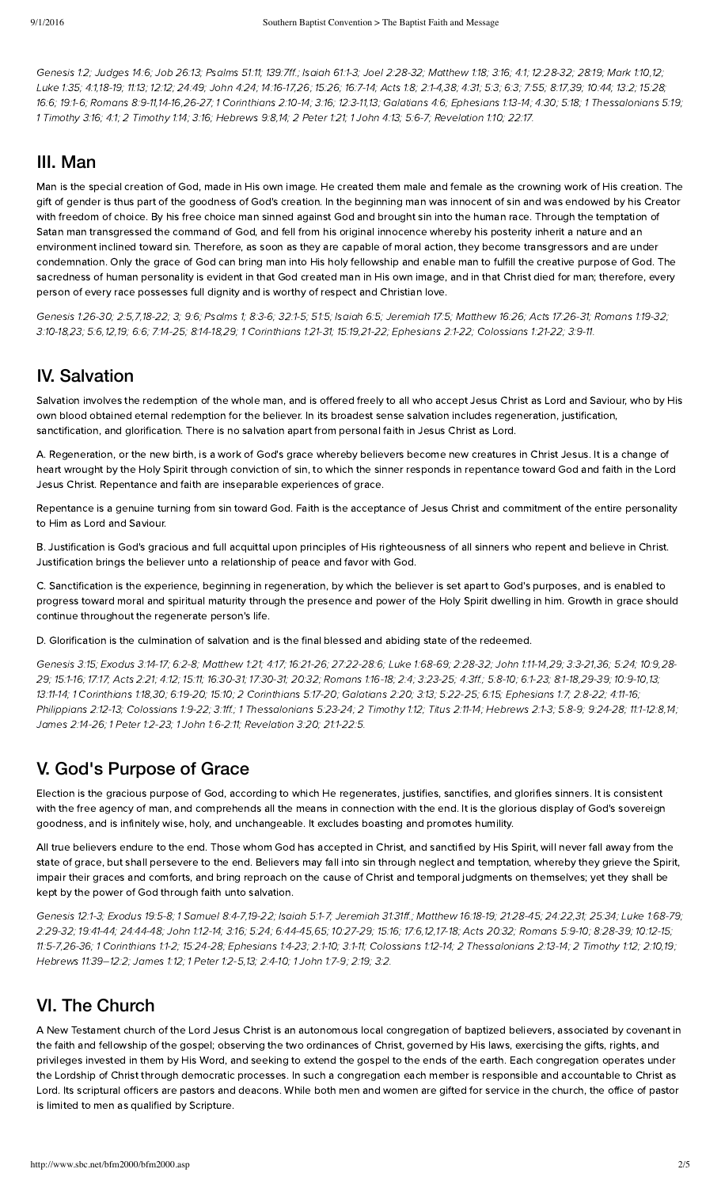[Genesis](http://biblia.com/bible/hcsb/Genesis%201.2) 1:2; [Judges](http://biblia.com/bible/hcsb/Judges%2014.6) 14:6; Job [26:13](http://biblia.com/bible/hcsb/Job%2026.13); [Psalms](http://biblia.com/bible/hcsb/Psalms%2051.11) 51:11; [139:7ff.](http://biblia.com/bible/hcsb/Psalms%20139.7ff); [Isaiah](http://biblia.com/bible/hcsb/Isaiah%2061.1-3) 61:1-3; Joel [2:28-32](http://biblia.com/bible/hcsb/Joel%202.28-32); [Matthew](http://biblia.com/bible/hcsb/Matthew%201.18) 1:18; [3:16](http://biblia.com/bible/hcsb/Matthew%203.16); [4:1](http://biblia.com/bible/hcsb/Matthew%204.1); [12:28-32](http://biblia.com/bible/hcsb/Matthew%2012.28-32); [28:19;](http://biblia.com/bible/hcsb/Matthew%2028.19) [Mark](http://biblia.com/bible/hcsb/Mark%201.10) 1:10,[12](http://biblia.com/bible/hcsb/Mark%201.12); [Luke](http://biblia.com/bible/hcsb/Luke%201.35) 1:35; [4:1](http://biblia.com/bible/hcsb/Luke%204.1),[18-19;](http://biblia.com/bible/hcsb/Luke%204.18-19) [11:13;](http://biblia.com/bible/hcsb/Luke%2011.13) [12:12;](http://biblia.com/bible/hcsb/Luke%2012.12) [24:49;](http://biblia.com/bible/hcsb/Luke%2024.49) [John](http://biblia.com/bible/hcsb/John%204.24) 4:24; [14:16-17,](http://biblia.com/bible/hcsb/John%2014.16-17)[26](http://biblia.com/bible/hcsb/John%2014.26); [15:26;](http://biblia.com/bible/hcsb/John%2015.26) [16:7-14;](http://biblia.com/bible/hcsb/John%2016.7-14) [Acts](http://biblia.com/bible/hcsb/Acts%201.8) 1:8; [2:1-4](http://biblia.com/bible/hcsb/Acts%202.1-4)[,38;](http://biblia.com/bible/hcsb/Acts%202.38) [4:31;](http://biblia.com/bible/hcsb/Acts%204.31) [5:3](http://biblia.com/bible/hcsb/Acts%205.3); [6:3;](http://biblia.com/bible/hcsb/Acts%206.3) [7:55;](http://biblia.com/bible/hcsb/Acts%207.55) [8:17](http://biblia.com/bible/hcsb/Acts%208.17)[,39;](http://biblia.com/bible/hcsb/Acts%208.39) [10:44](http://biblia.com/bible/hcsb/Acts%2010.44); [13:2](http://biblia.com/bible/hcsb/Acts%2013.2); [15:28](http://biblia.com/bible/hcsb/Acts%2015.28); [16:6;](http://biblia.com/bible/hcsb/Acts%2016.6) [19:1-6;](http://biblia.com/bible/hcsb/Acts%2019.1-6) [Romans](http://biblia.com/bible/hcsb/Romans%208.9-11) 8:9-11[,14-16,](http://biblia.com/bible/hcsb/Romans%208.14-16)[26-27](http://biblia.com/bible/hcsb/Romans%208.26-27); 1 [Corinthians](http://biblia.com/bible/hcsb/1%20Corinthians%202.10-14) 2:10-14; [3:16;](http://biblia.com/bible/hcsb/1%20Corinthians%203.16) [12:3-11](http://biblia.com/bible/hcsb/1%20Corinthians%2012.3-11),[13](http://biblia.com/bible/hcsb/1%20Corinthians%2012.13); [Galatians](http://biblia.com/bible/hcsb/Galatians%204.6) 4:6; [phesians](http://biblia.com/bible/hcsb/Ephesians%201.13-14) 1:13-14; [4:30](http://biblia.com/bible/hcsb/Ephesians%204.30); [5:18](http://biblia.com/bible/hcsb/Ephesians%205.18); 1 [Thessalonians](http://biblia.com/bible/hcsb/1%20Thessalonians%205.19) 5:19; 1 [Timoth](http://biblia.com/bible/hcsb/2%20Timothy%201.14)y 3:16; [4:1](http://biblia.com/bible/hcsb/1%20Timothy%204.1); 2 Timothy 1:14; [3:16](http://biblia.com/bible/hcsb/2%20Timothy%203.16); Hebrews 9:8,[14;](http://biblia.com/bible/hcsb/Hebrews%209.14) 2 [Peter](http://biblia.com/bible/hcsb/2%20Peter%201.21) 1:21; 1 [John](http://biblia.com/bible/hcsb/1%20John%204.13) 4:13; [5:6-7;](http://biblia.com/bible/hcsb/1%20John%205.6-7) [Revelation](http://biblia.com/bible/hcsb/Revelation%201.10) 1:10; [22:17.](http://biblia.com/bible/hcsb/Revelation%2022.17)

#### III. Man

Man is the special creation of God, made in His own image. He created them male and female as the crowning work of His creation. The gift of gender is thus part of the goodness of God's creation. In the beginning man was innocent of sin and was endowed by his Creator with freedom of choice. By his free choice man sinned against God and brought sin into the human race. Through the temptation of Satan man transgressed the command of God, and fell from his original innocence whereby his posterity inherit a nature and an environment inclined toward sin. Therefore, as soon as they are capable of moral action, they become transgressors and are under condemnation. Only the grace of God can bring man into His holy fellowship and enable man to fulfill the creative purpose of God. The sacredness of human personality is evident in that God created man in His own image, and in that Christ died for man; therefore, every person of every race possesses full dignity and is worthy of respect and Christian love.

[Genesis](http://biblia.com/bible/hcsb/Genesis%201.26-30) 1:26-30; [2:5](http://biblia.com/bible/hcsb/Genesis%202.5),[7](http://biblia.com/bible/hcsb/Genesis%202.7)[,18-22;](http://biblia.com/bible/hcsb/Genesis%202.18-22) [3](http://biblia.com/bible/hcsb/Genesis%202.3); [9:6](http://biblia.com/bible/hcsb/Genesis%209.6); Psalms 1; 8:3-6; 32:1-5; 51:5; [Isaiah](http://biblia.com/bible/hcsb/Isaiah%206.5) 6:5; [Jeremiah](http://biblia.com/bible/hcsb/Jeremiah%2017.5) 17:5; [Matthew](http://biblia.com/bible/hcsb/Matthew%2016.26) 16:26; Acts [17:26-31;](http://biblia.com/bible/hcsb/Acts%2017.26-31) [Romans](http://biblia.com/bible/hcsb/Romans%201.19-32) 1:19-32; [3:10-18,](http://biblia.com/bible/hcsb/Romans%203.10-18)[23](http://biblia.com/bible/hcsb/Romans%203.23); [5:6,](http://biblia.com/bible/hcsb/Romans%205.6)[12](http://biblia.com/bible/hcsb/Romans%205.12),[19;](http://biblia.com/bible/hcsb/Romans%205.19) [6:6](http://biblia.com/bible/hcsb/Romans%206.6); [7:14-25](http://biblia.com/bible/hcsb/Romans%207.14-25); [8:14-18](http://biblia.com/bible/hcsb/Romans%208.14-18)[,29;](http://biblia.com/bible/hcsb/Romans%208.29) 1 [Corinthians](http://biblia.com/bible/hcsb/1%20Corinthians%201.21-31) 1:21-31; [15:19](http://biblia.com/bible/hcsb/1%20Corinthians%2015.19)[,21-22;](http://biblia.com/bible/hcsb/1%20Corinthians%2015.21-22) [phesians](http://biblia.com/bible/hcsb/Ephesians%202.1-22) 2:1-22; [Colossians](http://biblia.com/bible/hcsb/Colossians%201.21-22) 1:21-22; [3:9-11.](http://biblia.com/bible/hcsb/Colossians%203.9-11)

#### IV. Salvation

Salvation involves the redemption of the whole man, and is offered freely to all who accept Jesus Christ as Lord and Saviour, who by His own blood obtained eternal redemption for the believer. In its broadest sense salvation includes regeneration, justification, sanctification, and glorification. There is no salvation apart from personal faith in Jesus Christ as Lord.

A. Regeneration, or the new birth, is a work of God's grace whereby believers become new creatures in Christ Jesus. It is a change of heart wrought by the Holy Spirit through conviction of sin, to which the sinner responds in repentance toward God and faith in the Lord Jesus Christ. Repentance and faith are inseparable experiences of grace.

Repentance is a genuine turning from sin toward God. Faith is the acceptance of Jesus Christ and commitment of the entire personality to Him as Lord and Saviour.

. Justification is God's gracious and full acquittal upon principles of His righteousness of all sinners who repent and elieve in Christ. Justification brings the believer unto a relationship of peace and favor with God.

C. Sanctification is the experience, beginning in regeneration, by which the believer is set apart to God's purposes, and is enabled to progress toward moral and spiritual maturity through the presence and power of the Holy Spirit dwelling in him. Growth in grace should continue throughout the regenerate person's life.

D. Glorification is the culmination of salvation and is the final blessed and abiding state of the redeemed.

[Genesis](http://biblia.com/bible/hcsb/Genesis%203.15) 3:15; E[xodus](http://biblia.com/bible/hcsb/Exodus%203.14-17) 3:14-17; [6:2-8;](http://biblia.com/bible/hcsb/Exodus%206.2-8) [Matthew](http://biblia.com/bible/hcsb/Matthew%201.21) 1:21; [4:17;](http://biblia.com/bible/hcsb/Matthew%204.17) [16:21-26;](http://biblia.com/bible/hcsb/Matthew%2016.21-26) [27:22-28:6;](http://biblia.com/bible/hcsb/Matthew%2027.22-28.6) Luke [1:68-69](http://biblia.com/bible/hcsb/Luke%201.68-69); [2:28-32;](http://biblia.com/bible/hcsb/Luke%202.28-32) John [1:11-14,](http://biblia.com/bible/hcsb/John%201.11-14)[29](http://biblia.com/bible/hcsb/John%201.29); [3:3-21,](http://biblia.com/bible/hcsb/John%203.3-21)[36](http://biblia.com/bible/hcsb/John%203.36); [5:24;](http://biblia.com/bible/hcsb/John%205.24) [10:9,](http://biblia.com/bible/hcsb/John%2010.9)28-29; [15:1-16](http://biblia.com/bible/hcsb/John%2015.1-16); [17:17](http://biblia.com/bible/hcsb/John%2017.17); [Acts](http://biblia.com/bible/hcsb/Acts%202.21) 2:21; [4:12](http://biblia.com/bible/hcsb/Acts%204.12); [15:11;](http://biblia.com/bible/hcsb/Acts%2015.11) [16:30-31;](http://biblia.com/bible/hcsb/Acts%2016.30-31) [17:30-31](http://biblia.com/bible/hcsb/Acts%2017.30-31); [20:32;](http://biblia.com/bible/hcsb/Acts%2020.32) [Romans](http://biblia.com/bible/hcsb/Romans%201.16-18) 1:16-18; [2:4;](http://biblia.com/bible/hcsb/Romans%202.4) [3:23-25](http://biblia.com/bible/hcsb/Romans%203.23-25); [4:3ff.](http://biblia.com/bible/hcsb/Romans%204.3ff); [5:8-10](http://biblia.com/bible/hcsb/Romans%205.8-10); [6:1-23](http://biblia.com/bible/hcsb/Romans%206.1-23); [8:1-18,29-39;](http://biblia.com/bible/hcsb/John%2010.28-29) [10:9-10](http://biblia.com/bible/hcsb/Romans%2010.9-10)[,13;](http://biblia.com/bible/hcsb/Romans%2010.13) [13:11-14;](http://biblia.com/bible/hcsb/Romans%2013.11-14) 1 [Corinthians](http://biblia.com/bible/hcsb/1%20Corinthians%201.18) 1:18[,30;](http://biblia.com/bible/hcsb/1%20Corinthians%201.30) [6:19-20;](http://biblia.com/bible/hcsb/1%20Corinthians%206.19-20) [15:10;](http://biblia.com/bible/hcsb/1%20Corinthians%2015.10) 2 [Corinthians](http://biblia.com/bible/hcsb/2%20Corinthians%205.17-20) 5:17-20; [Galatians](http://biblia.com/bible/hcsb/Galatians%202.20) 2:20; [3:13](http://biblia.com/bible/hcsb/Galatians%203.13); [5:22-25](http://biblia.com/bible/hcsb/Galatians%205.22-25); [6:15;](http://biblia.com/bible/hcsb/Galatians%206.15) [phesians](http://biblia.com/bible/hcsb/Ephesians%201.7) 1:7; [2:8-22;](http://biblia.com/bible/hcsb/Ephesians%202.8-22) [4:11-16;](http://biblia.com/bible/hcsb/Ephesians%204.11-16) [Philippians](http://biblia.com/bible/hcsb/Philippians%202.12-13) 2:12-13; [Colossians](http://biblia.com/bible/hcsb/Colossians%201.9-22) 1:9-22; [3:1ff](http://biblia.com/bible/hcsb/Colossians%203.1ff).; 1 [Thessalonians](http://biblia.com/bible/hcsb/1%20Thessalonians%205.23-24) 5:23-24; 2 [Timoth](http://biblia.com/bible/hcsb/2%20Timothy%201.12)y 1:12; Titus [2:11-14;](http://biblia.com/bible/hcsb/Titus%202.11-14) Hebrews 2:1-3; [5:8-9](http://biblia.com/bible/hcsb/Hebrews%205.8-9); [9:24-28;](http://biblia.com/bible/hcsb/Hebrews%209.24-28) [11:1-12:8](http://biblia.com/bible/hcsb/Hebrews%2011.1-12.8)[,14;](http://biblia.com/bible/hcsb/Hebrews%2011.14) James [2:14-26;](http://biblia.com/bible/hcsb/James%202.14-26) 1 Peter [1:2-23](http://biblia.com/bible/hcsb/1%20Peter%201.2-23); 1 John [1:6-2:11](http://biblia.com/bible/hcsb/1%20John%201.6-2.11); [Revelation](http://biblia.com/bible/hcsb/Revelation%203.20) 3:20; [21:1-22:5.](http://biblia.com/bible/hcsb/Revelation%2021.1-22.5)

# V. God's Purpose of Grace

Election is the gracious purpose of God, according to which He regenerates, justifies, sanctifies, and glorifies sinners. It is consistent with the free agency of man, and comprehends all the means in connection with the end. It is the glorious display of God's sovereign goodness, and is infinitely wise, holy, and unchangeable. It excludes boasting and promotes humility.

All true believers endure to the end. Those whom God has accepted in Christ, and sanctified by His Spirit, will never fall away from the state of grace, but shall persevere to the end. Believers may fall into sin through neglect and temptation, whereby they grieve the Spirit, impair their graces and comforts, and bring reproach on the cause of Christ and temporal judgments on themselves; yet they shall be kept by the power of God through faith unto salvation.

[Genesis](http://biblia.com/bible/hcsb/Genesis%2012.1-3) 12:1-3; E[xodus](http://biblia.com/bible/hcsb/Exodus%2019.5-8) 19:5-8; 1 S[amuel](http://biblia.com/bible/hcsb/1%20Samuel%208.4-7) 8:4-7,[19-22;](http://biblia.com/bible/hcsb/1%20Samuel%208.19-22) [Isaiah](http://biblia.com/bible/hcsb/Isaiah%205.1-7) 5:1-7; [Jeremiah](http://biblia.com/bible/hcsb/Jeremiah%2031.31ff) 31:31ff.; [Matthew](http://biblia.com/bible/hcsb/Matthew%2016.18-19) 16:18-19; [21:28-45](http://biblia.com/bible/hcsb/Matthew%2021.28-45); [24:22](http://biblia.com/bible/hcsb/Matthew%2024.22),[31](http://biblia.com/bible/hcsb/Matthew%2024.31); [25:34;](http://biblia.com/bible/hcsb/Matthew%2025.34) Luke [1:68-79](http://biblia.com/bible/hcsb/Luke%201.68-79); [2:29-32;](http://biblia.com/bible/hcsb/Luke%202.29-32) [19:41-44;](http://biblia.com/bible/hcsb/Luke%2019.41-44) [24:44-48;](http://biblia.com/bible/hcsb/Luke%2024.44-48) John [1:12-14](http://biblia.com/bible/hcsb/John%201.12-14); [3:16;](http://biblia.com/bible/hcsb/John%203.16) [5:24;](http://biblia.com/bible/hcsb/John%205.24) [6:44-45,](http://biblia.com/bible/hcsb/John%206.44-45)[65;](http://biblia.com/bible/hcsb/John%206.65) [10:27-29;](http://biblia.com/bible/hcsb/John%2010.27-29) [15:16](http://biblia.com/bible/hcsb/John%2015.16); [17:6](http://biblia.com/bible/hcsb/John%2017.6)[,12](http://biblia.com/bible/hcsb/John%2017.12),[17-18](http://biblia.com/bible/hcsb/John%2017.17-18); Acts [20:32;](http://biblia.com/bible/hcsb/Acts%2020.32) [Romans](http://biblia.com/bible/hcsb/Romans%205.9-10) 5:9-10; [8:28-39;](http://biblia.com/bible/hcsb/Romans%208.28-39) [10:12-15;](http://biblia.com/bible/hcsb/Romans%2010.12-15) [11:5-7,](http://biblia.com/bible/hcsb/Romans%2011.5-7)[26-36;](http://biblia.com/bible/hcsb/Romans%2011.26-36) 1 [Corinthians](http://biblia.com/bible/hcsb/1%20Corinthians%201.1-2) 1:1-2; [15:24-28;](http://biblia.com/bible/hcsb/1%20Corinthians%2015.24-28) E[phesians](http://biblia.com/bible/hcsb/Ephesians%201.4-23) 1:4-23; [2:1-10;](http://biblia.com/bible/hcsb/Ephesians%202.1-10) [3:1-11;](http://biblia.com/bible/hcsb/Ephesians%203.1-11) [Colossians](http://biblia.com/bible/hcsb/Colossians%201.12-14) 1:12-14; 2 [Thessalonians](http://biblia.com/bible/hcsb/2%20Thessalonians%202.13-14) 2:13-14; 2 [Timoth](http://biblia.com/bible/hcsb/2%20Timothy%201.12)y 1:12; [2:10](http://biblia.com/bible/hcsb/2%20Timothy%202.10)[,19;](http://biblia.com/bible/hcsb/2%20Timothy%202.19) Hebrews 11:39-12:2; [James](http://biblia.com/bible/hcsb/James%201.12) 1:12; 1 [Peter](http://biblia.com/bible/hcsb/1%20Peter%201.2-5) 1:2-5[,13;](http://biblia.com/bible/hcsb/1%20Peter%201.13) [2:4-10;](http://biblia.com/bible/hcsb/1%20Peter%202.4-10) 1 [John](http://biblia.com/bible/hcsb/1%20John%201.7-9) 1:7-9; [2:19](http://biblia.com/bible/hcsb/1%20John%202.19); [3:2](http://biblia.com/bible/hcsb/1%20John%203.2).

# VI. The Church

A New Testament church of the Lord Jesus Christ is an autonomous local congregation of baptized believers, associated by covenant in the faith and fellowship of the gospel; observing the two ordinances of Christ, governed by His laws, exercising the gifts, rights, and privileges invested in them by His Word, and seeking to extend the gospel to the ends of the earth. Each congregation operates under the Lordship of Christ through democratic processes. In such a congregation each member is responsible and accountable to Christ as Lord. Its scriptural officers are pastors and deacons. While both men and women are gifted for service in the church, the office of pastor is limited to men as qualified by Scripture.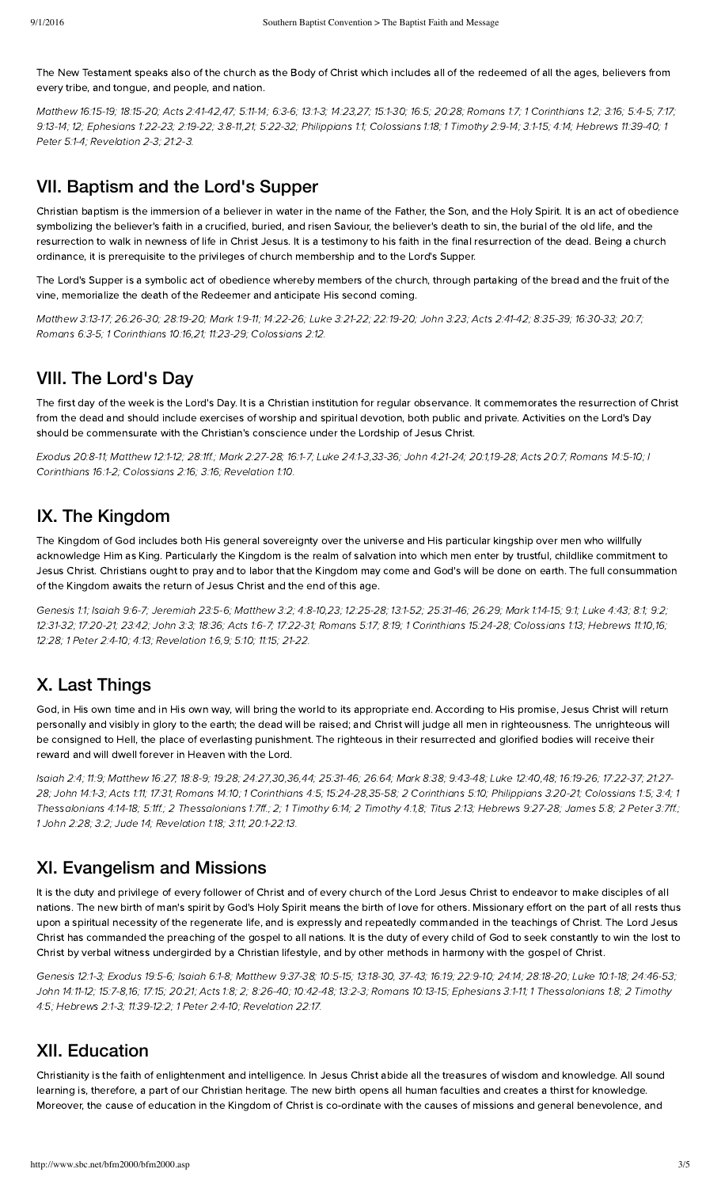The New Testament speaks also of the church as the Body of Christ which includes all of the redeemed of all the ages, believers from every tribe, and tongue, and people, and nation.

[Matthew](http://biblia.com/bible/hcsb/Matthew%2016.15-19) 16:15-19; [18:15-20](http://biblia.com/bible/hcsb/Matthew%2018.15-20); Acts [2:41-42,](http://biblia.com/bible/hcsb/Acts%202.41-42)[47;](http://biblia.com/bible/hcsb/Acts%202.47) [5:11-14;](http://biblia.com/bible/hcsb/Acts%205.11-14) [6:3-6;](http://biblia.com/bible/hcsb/Acts%206.3-6) [13:1-3;](http://biblia.com/bible/hcsb/Acts%2013.1-3) [14:23,](http://biblia.com/bible/hcsb/Acts%2014.23)[27;](http://biblia.com/bible/hcsb/Acts%2014.27) [15:1-30](http://biblia.com/bible/hcsb/Acts%2015.1-30); [16:5;](http://biblia.com/bible/hcsb/Acts%2016.5) [20:28](http://biblia.com/bible/hcsb/Acts%2020.28); [Romans](http://biblia.com/bible/hcsb/Romans%201.7) 1:7; 1 [Corinthians](http://biblia.com/bible/hcsb/1%20Corinthians%201.2) 1:2; [3:16;](http://biblia.com/bible/hcsb/1%20Corinthians%203.16) [5:4-5;](http://biblia.com/bible/hcsb/1%20Corinthians%205.4-5) [7:17;](http://biblia.com/bible/hcsb/1%20Corinthians%207.17) [9:13-14;](http://biblia.com/bible/hcsb/1%20Corinthians%209.13-14) [12;](http://biblia.com/bible/hcsb/1%20Corinthians%209.12) E[phesians](http://biblia.com/bible/hcsb/Ephesians%201.22-23) 1:22-23; [2:19-22;](http://biblia.com/bible/hcsb/Ephesians%202.19-22) [3:8-11](http://biblia.com/bible/hcsb/Ephesians%203.8-11),[21](http://biblia.com/bible/hcsb/Ephesians%203.21); [5:22-32;](http://biblia.com/bible/hcsb/Ephesians%205.22-32) [Philippians](http://biblia.com/bible/hcsb/Philippians%201.1) 1:1; [C](http://biblia.com/bible/hcsb/1%20Peter%205.1-4)[olossians](http://biblia.com/bible/hcsb/Colossians%201.18) 1:18; 1 [Timoth](http://biblia.com/bible/hcsb/1%20Timothy%202.9-14)y 2:9-14; [3:1-15;](http://biblia.com/bible/hcsb/1%20Timothy%203.1-15) [4:14;](http://biblia.com/bible/hcsb/1%20Timothy%204.14) Hebrews 11:39-40; 1 Peter 5:1-4; Revelation 2-3; 21:2-3.

## VII. Baptism and the Lord's Supper

Christian baptism is the immersion of a believer in water in the name of the Father, the Son, and the Holy Spirit. It is an act of obedience symbolizing the believer's faith in a crucified, buried, and risen Saviour, the believer's death to sin, the burial of the old life, and the resurrection to walk in newness of life in Christ Jesus. It is a testimony to his faith in the final resurrection of the dead. Being a church ordinance, it is prerequisite to the privileges of church membership and to the Lord's Supper.

The Lord's Supper is a symbolic act of obedience whereby members of the church, through partaking of the bread and the fruit of the vine, memorialize the death of the Redeemer and anticipate His second coming.

[Matthew](http://biblia.com/bible/hcsb/Matthew%203.13-17) 3:13-17; [26:26-30;](http://biblia.com/bible/hcsb/Matthew%2026.26-30) [28:19-20](http://biblia.com/bible/hcsb/Matthew%2028.19-20); [Mark](http://biblia.com/bible/hcsb/Mark%201.9-11) 1:9-11; [14:22-26](http://biblia.com/bible/hcsb/Mark%2014.22-26); Luke [3:21-22;](http://biblia.com/bible/hcsb/Luke%203.21-22) [22:19-20;](http://biblia.com/bible/hcsb/Luke%2022.19-20) [John](http://biblia.com/bible/hcsb/John%203.23) 3:23; Acts [2:41-42](http://biblia.com/bible/hcsb/Acts%202.41-42); [8:35-39;](http://biblia.com/bible/hcsb/Acts%208.35-39) [16:30-33](http://biblia.com/bible/hcsb/Acts%2016.30-33); [20:7;](http://biblia.com/bible/hcsb/Acts%2020.7) [Romans](http://biblia.com/bible/hcsb/Romans%206.3-5) 6:3-5; 1 [Corinthians](http://biblia.com/bible/hcsb/1%20Corinthians%2010.16) 10:16,[21](http://biblia.com/bible/hcsb/1%20Corinthians%2010.21); [11:23-29](http://biblia.com/bible/hcsb/1%20Corinthians%2011.23-29); [Colossians](http://biblia.com/bible/hcsb/Colossians%202.12) 2:12.

# VIII. The Lord's Day

The first day of the week is the Lord's Day. It is a Christian institution for regular observance. It commemorates the resurrection of Christ from the dead and should include exercises of worship and spiritual devotion, both public and private. Activities on the Lord's Day should be commensurate with the Christian's conscience under the Lordship of Jesus Christ.

[xodus](http://biblia.com/bible/hcsb/Exodus%2020.8-11) 20:8-11; [Matthew](http://biblia.com/bible/hcsb/Matthew%2012.1-12) 12:1-12; [28:1ff.](http://biblia.com/bible/hcsb/Matthew%2028.1ff); Mark [2:27-28;](http://biblia.com/bible/hcsb/Mark%202.27-28) [16:1-7;](http://biblia.com/bible/hcsb/Mark%2016.1-7) Luke [24:1-](http://biblia.com/bible/hcsb/Luke%2024.1-3)[3,](http://biblia.com/bible/hcsb/I%20Corinthians%2016.1-2)[33-3](http://biblia.com/bible/hcsb/Luke%2024.33-36)[6;](http://biblia.com/bible/hcsb/I%20Corinthians%2016.1-2) John [4:21-24](http://biblia.com/bible/hcsb/John%204.21-24); [20:1](http://biblia.com/bible/hcsb/John%2020.1),[19-28](http://biblia.com/bible/hcsb/John%2020.19-28); Acts [20:7](http://biblia.com/bible/hcsb/Acts%2020.7); [Romans](http://biblia.com/bible/hcsb/Romans%2014.5-10) 14:5-10; I Corinthians 16:1-2; [Colossians](http://biblia.com/bible/hcsb/Colossians%202.16) 2:16; [3:16;](http://biblia.com/bible/hcsb/Colossians%203.16) [Revelation](http://biblia.com/bible/hcsb/Revelation%201.10) 1:10.

# IX. The Kingdom

The Kingdom of God includes both His general sovereignty over the universe and His particular kingship over men who willfully acknowledge Him as King. Particularly the Kingdom is the realm of salvation into which men enter by trustful, childlike commitment to Jesus Christ. Christians ought to pray and to labor that the Kingdom may come and God's will be done on earth. The full consummation of the Kingdom awaits the return of Jesus Christ and the end of this age.

[Genesis](http://biblia.com/bible/hcsb/Genesis%201.1) 1:1; [Isaiah](http://biblia.com/bible/hcsb/Isaiah%209.6-7) 9:6-7; [Jeremiah](http://biblia.com/bible/hcsb/Jeremiah%2023.5-6) 23:5-6; [Matthew](http://biblia.com/bible/hcsb/Matthew%203.2) 3:2; [4:8-10,](http://biblia.com/bible/hcsb/Matthew%204.8-10)[23](http://biblia.com/bible/hcsb/Matthew%204.23); [12:25-28](http://biblia.com/bible/hcsb/Matthew%2012.25-28); [13:1-52;](http://biblia.com/bible/hcsb/Matthew%2013.1-52) [25:31-46](http://biblia.com/bible/hcsb/Matthew%2025.31-46); [26:29](http://biblia.com/bible/hcsb/Matthew%2026.29); Mark [1:14-15;](http://biblia.com/bible/hcsb/Mark%201.14-15) [9:1](http://biblia.com/bible/hcsb/Mark%209.1); [Luke](http://biblia.com/bible/hcsb/Luke%204.43) 4:43; [8:1](http://biblia.com/bible/hcsb/Luke%208.1); [9:2](http://biblia.com/bible/hcsb/Luke%209.2); [12:31-32;](http://biblia.com/bible/hcsb/Luke%2012.31-32) [17:20-21;](http://biblia.com/bible/hcsb/Luke%2017.20-21) [23:42;](http://biblia.com/bible/hcsb/Luke%2023.42) [John](http://biblia.com/bible/hcsb/John%203.3) 3:3; [18:36](http://biblia.com/bible/hcsb/John%2018.36); Acts [1:6-7](http://biblia.com/bible/hcsb/Acts%201.6-7); [17:22-31](http://biblia.com/bible/hcsb/Acts%2017.22-31); [Romans](http://biblia.com/bible/hcsb/Romans%205.17) 5:17; [8:19;](http://biblia.com/bible/hcsb/Romans%208.19) 1 [Corinthians](http://biblia.com/bible/hcsb/1%20Corinthians%2015.24-28) 15:24-28; [Colossians](http://biblia.com/bible/hcsb/Colossians%201.13) 1:13; [Herews](http://biblia.com/bible/hcsb/Hebrews%2011.10) 11:10,[16](http://biblia.com/bible/hcsb/Hebrews%2011.16); [12:28](http://biblia.com/bible/hcsb/Hebrews%2012.28); 1 Peter [2:4-10](http://biblia.com/bible/hcsb/1%20Peter%202.4-10); [4:13](http://biblia.com/bible/hcsb/1%20Peter%204.13); [Revelation](http://biblia.com/bible/hcsb/Revelation%201.6) 1:6,[9](http://biblia.com/bible/hcsb/Revelation%201.9); [5:10](http://biblia.com/bible/hcsb/Revelation%205.10); [11:15;](http://biblia.com/bible/hcsb/Revelation%2011.15) [21-22.](http://biblia.com/bible/hcsb/Revelation%2011.21-22)

# X. Last Things

God, in His own time and in His own way, will bring the world to its appropriate end. According to His promise, Jesus Christ will return personally and visibly in glory to the earth; the dead will be raised; and Christ will judge all men in righteousness. The unrighteous will be consigned to Hell, the place of everlasting punishment. The righteous in their resurrected and glorified bodies will receive their reward and will dwell forever in Heaven with the Lord.

[Isaiah](http://biblia.com/bible/hcsb/Isaiah%202.4) 2:4; [11:9;](http://biblia.com/bible/hcsb/Isaiah%2011.9) [Matthew](http://biblia.com/bible/hcsb/Matthew%2016.27) 16:27; [18:8-9](http://biblia.com/bible/hcsb/Matthew%2018.8-9); [19:28](http://biblia.com/bible/hcsb/Matthew%2019.28); [24:27,](http://biblia.com/bible/hcsb/Matthew%2024.27)[30](http://biblia.com/bible/hcsb/Matthew%2024.30)[,36](http://biblia.com/bible/hcsb/Matthew%2024.36),[44](http://biblia.com/bible/hcsb/Matthew%2024.44); [25:31-46;](http://biblia.com/bible/hcsb/Matthew%2025.31-46) [26:64](http://biblia.com/bible/hcsb/Matthew%2026.64); [Mark](http://biblia.com/bible/hcsb/Mark%208.38) 8:38; [9:43-48;](http://biblia.com/bible/hcsb/Mark%209.43-48) Luke [12:40](http://biblia.com/bible/hcsb/Luke%2012.40)[,48](http://biblia.com/bible/hcsb/Luke%2012.48); [16:19-26;](http://biblia.com/bible/hcsb/Luke%2016.19-26) [17:22-37](http://biblia.com/bible/hcsb/Luke%2017.22-37); 21:27- 28; John [14:1-3;](http://biblia.com/bible/hcsb/John%2014.1-3) [Acts](http://biblia.com/bible/hcsb/Acts%201.11) 1:11; [17:31](http://biblia.com/bible/hcsb/Acts%2017.31); [Romans](http://biblia.com/bible/hcsb/Romans%2014.10) 14:10; 1 [Corinthians](http://biblia.com/bible/hcsb/1%20Corinthians%204.5) 4:5; [15:24-28,35-58;](http://biblia.com/bible/hcsb/Luke%2021.27-28) 2 [Corinthians](http://biblia.com/bible/hcsb/2%20Corinthians%205.10) 5:10; [Philippians](http://biblia.com/bible/hcsb/Philippians%203.20-21) 3:20-21; [Colossians](http://biblia.com/bible/hcsb/Colossians%201.5) 1:5; [3:4;](http://biblia.com/bible/hcsb/Colossians%203.4) 1 Thessalonians 4:14-18; [5:1ff](http://biblia.com/bible/hcsb/1%20Thessalonians%205.1ff).; 2 [Thessalonians](http://biblia.com/bible/hcsb/2%20Thessalonians%201.7ff) 1:7ff.; [2;](http://biblia.com/bible/hcsb/2%20Thessalonians%201.2) 1 [Timoth](http://biblia.com/bible/hcsb/2%20Timothy%204.1)y 6:14; 2 Timothy 4:1[,8](http://biblia.com/bible/hcsb/2%20Timothy%204.8); [Titus](http://biblia.com/bible/hcsb/Titus%202.13) 2:13; Hebrews 9:27-28; [James](http://biblia.com/bible/hcsb/James%205.8) 5:8; 2 [Peter](http://biblia.com/bible/hcsb/2%20Peter%203.7ff) 3:7ff.; 1 [John](http://biblia.com/bible/hcsb/1%20John%202.28) 2:28; [3:2;](http://biblia.com/bible/hcsb/1%20John%203.2) [Jude](http://biblia.com/bible/hcsb/Jude%2014) 14; [Revelation](http://biblia.com/bible/hcsb/Revelation%201.18) 1:18; [3:11](http://biblia.com/bible/hcsb/Revelation%203.11); [20:1-22:13.](http://biblia.com/bible/hcsb/Revelation%2020.1-22.13)

# XI. Evangelism and Missions

It is the duty and privilege of every follower of Christ and of every church of the Lord Jesus Christ to endeavor to make disciples of all nations. The new birth of man's spirit by God's Holy Spirit means the birth of love for others. Missionary effort on the part of all rests thus upon a spiritual necessity of the regenerate life, and is expressly and repeatedly commanded in the teachings of Christ. The Lord Jesus Christ has commanded the preaching of the gospel to all nations. It is the duty of every child of God to seek constantly to win the lost to Christ by verbal witness undergirded by a Christian lifestyle, and by other methods in harmony with the gospel of Christ.

[Genesis](http://biblia.com/bible/hcsb/Genesis%2012.1-3) 12:1-3; E[xodus](http://biblia.com/bible/hcsb/Exodus%2019.5-6) 19:5-6; [Isaiah](http://biblia.com/bible/hcsb/Isaiah%206.1-8) 6:1-8; [Matthew](http://biblia.com/bible/hcsb/Matthew%209.37-38) 9:37-38; [10:5-15;](http://biblia.com/bible/hcsb/Matthew%2010.5-15) [13:18-30,](http://biblia.com/bible/hcsb/Matthew%2013.18-30) [37-43;](http://biblia.com/bible/hcsb/Matthew%2013.37-43) [16:19](http://biblia.com/bible/hcsb/Matthew%2016.19); [22:9-10](http://biblia.com/bible/hcsb/Matthew%2022.9-10); [24:14;](http://biblia.com/bible/hcsb/Matthew%2024.14) [28:18-20;](http://biblia.com/bible/hcsb/Matthew%2028.18-20) Luke [10:1-18](http://biblia.com/bible/hcsb/Luke%2010.1-18); [24:46-53;](http://biblia.com/bible/hcsb/Luke%2024.46-53) John [14:11-12;](http://biblia.com/bible/hcsb/John%2014.11-12) [15:7-8](http://biblia.com/bible/hcsb/John%2015.7-8)[,16;](http://biblia.com/bible/hcsb/John%2015.16) [17:15](http://biblia.com/bible/hcsb/John%2017.15); [20:21;](http://biblia.com/bible/hcsb/John%2020.21) [Acts](http://biblia.com/bible/hcsb/Acts%201.8) 1:8; [2](http://biblia.com/bible/hcsb/Acts%201.2); [8:26-40](http://biblia.com/bible/hcsb/Acts%208.26-40); [10:42-48;](http://biblia.com/bible/hcsb/Acts%2010.42-48) [13:2-3](http://biblia.com/bible/hcsb/Acts%2013.2-3); [Romans](http://biblia.com/bible/hcsb/Romans%2010.13-15) 10:13-15; E[phesians](http://biblia.com/bible/hcsb/Ephesians%203.1-11) 3:1-11; 1 [Thessalonians](http://biblia.com/bible/hcsb/1%20Thessalonians%201.8) 1:8; 2 Timothy 4:5; Hebrews 2:1-3; [11:39-12:2](http://biblia.com/bible/hcsb/Hebrews%2011.39-12.2); 1 Peter [2:4-10](http://biblia.com/bible/hcsb/1%20Peter%202.4-10); [Revelation](http://biblia.com/bible/hcsb/Revelation%2022.17) 22:17.

### XII. Education

Christianity is the faith of enlightenment and intelligence. In Jesus Christ abide all the treasures of wisdom and knowledge. All sound learning is, therefore, a part of our Christian heritage. The new birth opens all human faculties and creates a thirst for knowledge. Moreover, the cause of education in the Kingdom of Christ is co-ordinate with the causes of missions and general benevolence, and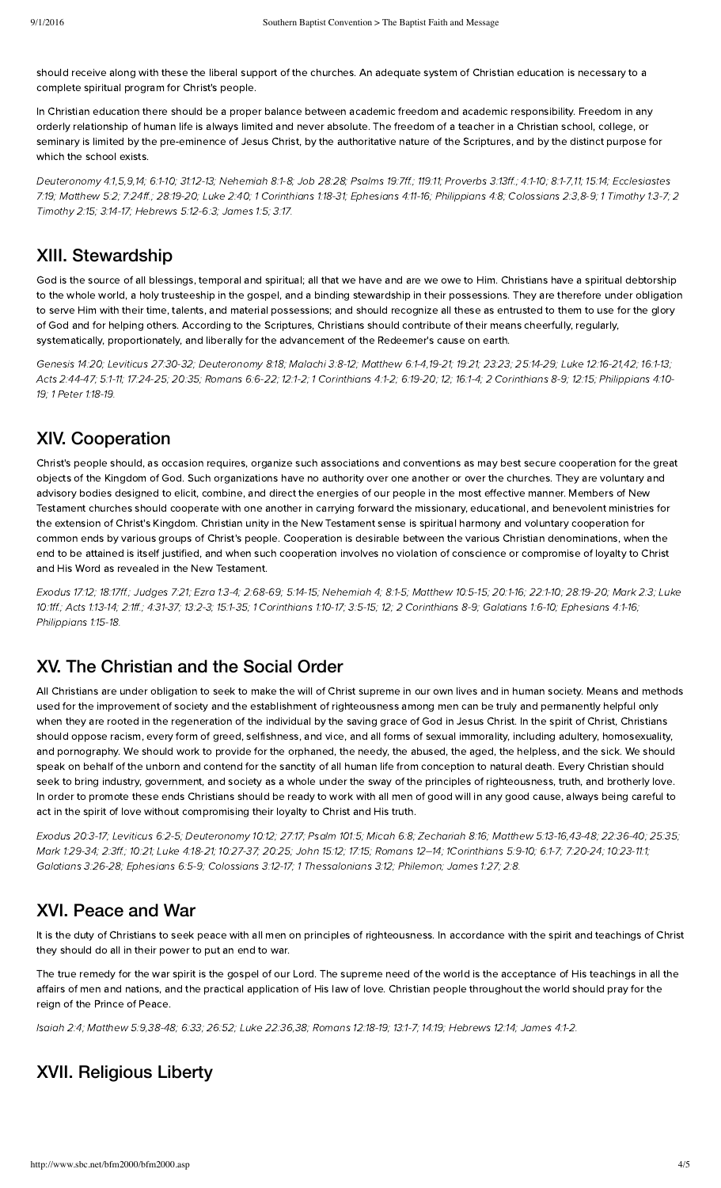should receive along with these the liberal support of the churches. An adequate system of Christian education is necessary to a complete spiritual program for Christ's people.

In Christian education there should be a proper balance between academic freedom and academic responsibility. Freedom in any orderly relationship of human life is always limited and never absolute. The freedom of a teacher in a Christian school, college, or seminary is limited by the pre-eminence of Jesus Christ, by the authoritative nature of the Scriptures, and by the distinct purpose for which the school exists.

[Deuteronom](http://biblia.com/bible/hcsb/Deuteronomy%204.1)y 4:1[,5,](http://biblia.com/bible/hcsb/Deuteronomy%204.5)[9](http://biblia.com/bible/hcsb/Deuteronomy%204.9)[,14;](http://biblia.com/bible/hcsb/Deuteronomy%204.14) [6:1-10;](http://biblia.com/bible/hcsb/Deuteronomy%206.1-10) [31:12-13](http://biblia.com/bible/hcsb/Deuteronomy%2031.12-13); [Nehemiah](http://biblia.com/bible/hcsb/Nehemiah%208.1-8) 8:1-8; Job [28:28](http://biblia.com/bible/hcsb/Job%2028.28); [Psalms](http://biblia.com/bible/hcsb/Psalms%2019.7ff) 19:7ff.; [119:11;](http://biblia.com/bible/hcsb/Psalms%20119.11) Proverbs 3:13ff.; [4:1-10;](http://biblia.com/bible/hcsb/Proverbs%204.1-10) [8:1-7,](http://biblia.com/bible/hcsb/Proverbs%208.1-7)[11](http://biblia.com/bible/hcsb/Proverbs%208.11); [15:14;](http://biblia.com/bible/hcsb/Proverbs%2015.14) Ecclesiastes 7:19; [Matthew](http://biblia.com/bible/hcsb/Matthew%205.2) 5:2; [7:24ff.](http://biblia.com/bible/hcsb/Matthew%207.24ff); [28:19-20;](http://biblia.com/bible/hcsb/Matthew%2028.19-20) [Luke](http://biblia.com/bible/hcsb/Luke%202.40) 2:40; 1 [Corinthians](http://biblia.com/bible/hcsb/1%20Corinthians%201.18-31) 1:18-31; E[phesians](http://biblia.com/bible/hcsb/Ephesians%204.11-16) 4:11-16; [Philippians](http://biblia.com/bible/hcsb/Philippians%204.8) 4:8; [Colossians](http://biblia.com/bible/hcsb/Colossians%202.3) 2:3[,8-9](http://biblia.com/bible/hcsb/Colossians%202.8-9); 1 [Timoth](http://biblia.com/bible/hcsb/1%20Timothy%201.3-7)y 1:3-7; 2 Timothy 2:15; [3:14-17;](http://biblia.com/bible/hcsb/2%20Timothy%203.14-17) Hebrews 5:12-6:3; [James](http://biblia.com/bible/hcsb/James%201.5) 1:5; [3:17.](http://biblia.com/bible/hcsb/James%203.17)

#### XIII. Stewardship

God is the source of all blessings, temporal and spiritual; all that we have and are we owe to Him. Christians have a spiritual debtorship to the whole world, a holy trusteeship in the gospel, and a binding stewardship in their possessions. They are therefore under obligation to serve Him with their time, talents, and material possessions; and should recognize all these as entrusted to them to use for the glory of God and for helping others. According to the Scriptures, Christians should contribute of their means cheerfully, regularly, systematically, proportionately, and liberally for the advancement of the Redeemer's cause on earth.

[Genesis](http://biblia.com/bible/hcsb/Genesis%2014.20) 14:20; Leviticus [27:30-32](http://biblia.com/bible/hcsb/Leviticus%2027.30-32); [Deuteronom](http://biblia.com/bible/hcsb/Deuteronomy%208.18)y 8:18; [Malachi](http://biblia.com/bible/hcsb/Malachi%203.8-12) 3:8-12; [Matthew](http://biblia.com/bible/hcsb/Matthew%206.1-4) 6:1-4[,19-21](http://biblia.com/bible/hcsb/Matthew%206.19-21); [19:21;](http://biblia.com/bible/hcsb/Matthew%2019.21) [23:23;](http://biblia.com/bible/hcsb/Matthew%2023.23) [25:14-29](http://biblia.com/bible/hcsb/Matthew%2025.14-29); Luke [12:16-21](http://biblia.com/bible/hcsb/Luke%2012.16-21)[,42](http://biblia.com/bible/hcsb/Luke%2012.42); [16:1-13;](http://biblia.com/bible/hcsb/Luke%2016.1-13) Acts [2:44-47;](http://biblia.com/bible/hcsb/Acts%202.44-47) [5:1-11;](http://biblia.com/bible/hcsb/Acts%205.1-11) [17:24-25;](http://biblia.com/bible/hcsb/Acts%2017.24-25) [20:35](http://biblia.com/bible/hcsb/Acts%2020.35); [Romans](http://biblia.com/bible/hcsb/Romans%206.6-22) 6:6-22; [12:1-2;](http://biblia.com/bible/hcsb/Romans%2012.1-2) 1 [Corinthians](http://biblia.com/bible/hcsb/1%20Corinthians%204.1-2) 4:1-2; [6:19-20;](http://biblia.com/bible/hcsb/1%20Corinthians%206.19-20) [12;](http://biblia.com/bible/hcsb/1%20Corinthians%206.12) [16:1-4](http://biblia.com/bible/hcsb/1%20Corinthians%2016.1-4); 2 Corinthians 8-9; 12:15; Philippians 4:10- 19; 1 Peter [1:18-19.](http://biblia.com/bible/hcsb/1%20Peter%201.18-19)

### XIV. Cooperation

Christ's people should, as occasion requires, organize such associations and conventions as may best secure cooperation for the great objects of the Kingdom of God. Such organizations have no authority over one another or over the churches. They are voluntary and advisory bodies designed to elicit, combine, and direct the energies of our people in the most effective manner. Members of New Testament churches should cooperate with one another in carrying forward the missionary, educational, and benevolent ministries for the extension of Christ's Kingdom. Christian unity in the New Testament sense is spiritual harmony and voluntary cooperation for common ends by various groups of Christ's people. Cooperation is desirable between the various Christian denominations, when the end to be attained is itself justified, and when such cooperation involves no violation of conscience or compromise of loyalty to Christ and His Word as revealed in the New Testament.

E[xodus](http://biblia.com/bible/hcsb/Exodus%2017.12) 17:12; [18:17ff](http://biblia.com/bible/hcsb/Exodus%2018.17ff).; [Judges](http://biblia.com/bible/hcsb/Judges%207.21) 7:21; Ezra [1:3-4;](http://biblia.com/bible/hcsb/Ezra%201.3-4) [2:68-69;](http://biblia.com/bible/hcsb/Ezra%202.68-69) [5:14-15](http://biblia.com/bible/hcsb/Ezra%205.14-15); Nehemiah 4; 8:1-5; [Matthew](http://biblia.com/bible/hcsb/Matthew%2010.5-15) 10:5-15; [20:1-16](http://biblia.com/bible/hcsb/Matthew%2020.1-16); [22:1-10;](http://biblia.com/bible/hcsb/Matthew%2022.1-10) [28:19-20;](http://biblia.com/bible/hcsb/Matthew%2028.19-20) [Mark](http://biblia.com/bible/hcsb/Mark%202.3) 2:3; Luke 10:1ff.; Acts [1:13-14](http://biblia.com/bible/hcsb/Acts%201.13-14); [2:1ff](http://biblia.com/bible/hcsb/Acts%202.1ff).; [4:31-37](http://biblia.com/bible/hcsb/Acts%204.31-37); [13:2-3;](http://biblia.com/bible/hcsb/Acts%2013.2-3) [15:1-35;](http://biblia.com/bible/hcsb/Acts%2015.1-35) 1 [Corinthians](http://biblia.com/bible/hcsb/Luke%2010.1ff) 1:10-17; [3:5-15;](http://biblia.com/bible/hcsb/1%20Corinthians%203.5-15) [12](http://biblia.com/bible/hcsb/1%20Corinthians%203.12); 2 Corinthians 8-9; [Galatians](http://biblia.com/bible/hcsb/Galatians%201.6-10) 1:6-10; [phesians](http://biblia.com/bible/hcsb/Ephesians%204.1-16) 4:1-16; [Philippians](http://biblia.com/bible/hcsb/Philippians%201.15-18) 1:15-18.

# XV. The Christian and the Social Order

All Christians are under obligation to seek to make the will of Christ supreme in our own lives and in human society. Means and methods used for the improvement of society and the establishment of righteousness among men can be truly and permanently helpful only when they are rooted in the regeneration of the individual by the saving grace of God in Jesus Christ. In the spirit of Christ, Christians should oppose racism, every form of greed, selfishness, and vice, and all forms of sexual immorality, including adultery, homosexuality, and pornography. We should work to provide for the orphaned, the needy, the abused, the aged, the helpless, and the sick. We should speak on behalf of the unborn and contend for the sanctity of all human life from conception to natural death. Every Christian should seek to bring industry, government, and society as a whole under the sway of the principles of righteousness, truth, and brotherly love. In order to promote these ends Christians should be ready to work with all men of good will in any good cause, always being careful to act in the spirit of love without compromising their loyalty to Christ and His truth.

E[xodus](http://biblia.com/bible/hcsb/Exodus%2020.3-17) 20:3-17; [Leviticus](http://biblia.com/bible/hcsb/Leviticus%206.2-5) 6:2-5; [Deuteronom](http://biblia.com/bible/hcsb/Deuteronomy%2010.12)y 10:12; [27:17](http://biblia.com/bible/hcsb/Deuteronomy%2027.17); [Psalm](http://biblia.com/bible/hcsb/Psalm%20101.5) 101:5; [Micah](http://biblia.com/bible/hcsb/Micah%206.8) 6:8; [Zechariah](http://biblia.com/bible/hcsb/Zechariah%208.16) 8:16; [Matthew](http://biblia.com/bible/hcsb/Matthew%205.13-16) 5:13-16[,43-48;](http://biblia.com/bible/hcsb/Matthew%205.43-48) [22:36-40;](http://biblia.com/bible/hcsb/Matthew%2022.36-40) [25:35;](http://biblia.com/bible/hcsb/Matthew%2025.35) Mark [1:29-34](http://biblia.com/bible/hcsb/Mark%201.29-34); [2:3ff](http://biblia.com/bible/hcsb/Mark%202.3ff).; [10:21](http://biblia.com/bible/hcsb/Mark%2010.21); Luke [4:18-21](http://biblia.com/bible/hcsb/Luke%204.18-21); [10:27-37](http://biblia.com/bible/hcsb/Luke%2010.27-37); [20:25;](http://biblia.com/bible/hcsb/Luke%2020.25) [John](http://biblia.com/bible/hcsb/John%2015.12) 15:12; [17:15](http://biblia.com/bible/hcsb/John%2017.15); Romans 12–14; [1Corinthians](http://biblia.com/bible/hcsb/1Corinthians%205.9-10) 5:9-10; [6:1-7;](http://biblia.com/bible/hcsb/1Corinthians%206.1-7) [7:20-24;](http://biblia.com/bible/hcsb/1Corinthians%207.20-24) [10:23-11:1](http://biblia.com/bible/hcsb/1Corinthians%2010.23-11.1); [Galatians](http://biblia.com/bible/hcsb/Galatians%203.26-28) 3:26-28; E[phesians](http://biblia.com/bible/hcsb/Ephesians%206.5-9) 6:5-9; [Colossians](http://biblia.com/bible/hcsb/Colossians%203.12-17) 3:12-17; 1 [Thessalonians](http://biblia.com/bible/hcsb/1%20Thessalonians%203.12) 3:12; Philemon; [James](http://biblia.com/bible/hcsb/James%201.27) 1:27; [2:8.](http://biblia.com/bible/hcsb/James%202.8)

# XVI. Peace and War

It is the duty of Christians to seek peace with all men on principles of righteousness. In accordance with the spirit and teachings of Christ they should do all in their power to put an end to war.

The true remedy for the war spirit is the gospel of our Lord. The supreme need of the world is the acceptance of His teachings in all the affairs of men and nations, and the practical application of His law of love. Christian people throughout the world should pray for the reign of the Prince of Peace.

[Isaiah](http://biblia.com/bible/hcsb/Isaiah%202.4) 2:4; [Matthew](http://biblia.com/bible/hcsb/Matthew%205.9) 5:9[,38-48](http://biblia.com/bible/hcsb/Matthew%205.38-48); [6:33;](http://biblia.com/bible/hcsb/Matthew%206.33) [26:52](http://biblia.com/bible/hcsb/Matthew%2026.52); Luke [22:36,](http://biblia.com/bible/hcsb/Luke%2022.36)[38](http://biblia.com/bible/hcsb/Luke%2022.38); [Romans](http://biblia.com/bible/hcsb/Romans%2012.18-19) 12:18-19; [13:1-7](http://biblia.com/bible/hcsb/Romans%2013.1-7); [14:19;](http://biblia.com/bible/hcsb/Romans%2014.19) Hebrews 12:14; [James](http://biblia.com/bible/hcsb/James%204.1-2) 4:1-2.

### XVII. Religious Liberty